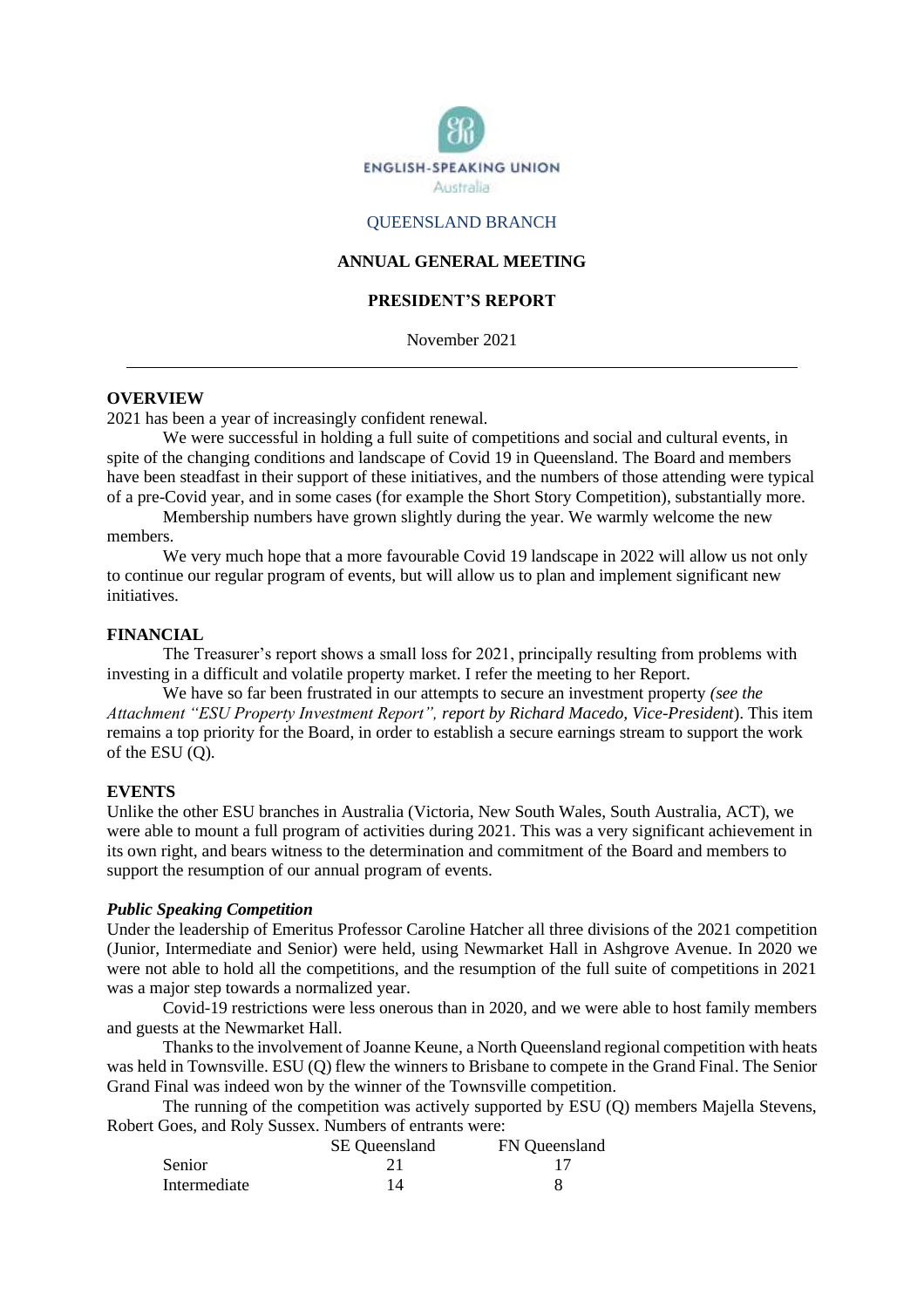

#### QUEENSLAND BRANCH

#### **ANNUAL GENERAL MEETING**

## **PRESIDENT'S REPORT**

November 2021

#### **OVERVIEW**

2021 has been a year of increasingly confident renewal.

We were successful in holding a full suite of competitions and social and cultural events, in spite of the changing conditions and landscape of Covid 19 in Queensland. The Board and members have been steadfast in their support of these initiatives, and the numbers of those attending were typical of a pre-Covid year, and in some cases (for example the Short Story Competition), substantially more.

Membership numbers have grown slightly during the year. We warmly welcome the new members.

We very much hope that a more favourable Covid 19 landscape in 2022 will allow us not only to continue our regular program of events, but will allow us to plan and implement significant new initiatives.

#### **FINANCIAL**

The Treasurer's report shows a small loss for 2021, principally resulting from problems with investing in a difficult and volatile property market. I refer the meeting to her Report.

We have so far been frustrated in our attempts to secure an investment property *(see the Attachment "ESU Property Investment Report", report by Richard Macedo, Vice-President*). This item remains a top priority for the Board, in order to establish a secure earnings stream to support the work of the ESU (Q).

#### **EVENTS**

Unlike the other ESU branches in Australia (Victoria, New South Wales, South Australia, ACT), we were able to mount a full program of activities during 2021. This was a very significant achievement in its own right, and bears witness to the determination and commitment of the Board and members to support the resumption of our annual program of events.

#### *Public Speaking Competition*

Under the leadership of Emeritus Professor Caroline Hatcher all three divisions of the 2021 competition (Junior, Intermediate and Senior) were held, using Newmarket Hall in Ashgrove Avenue. In 2020 we were not able to hold all the competitions, and the resumption of the full suite of competitions in 2021 was a major step towards a normalized year.

Covid-19 restrictions were less onerous than in 2020, and we were able to host family members and guests at the Newmarket Hall.

Thanks to the involvement of Joanne Keune, a North Queensland regional competition with heats was held in Townsville. ESU (Q) flew the winners to Brisbane to compete in the Grand Final. The Senior Grand Final was indeed won by the winner of the Townsville competition.

The running of the competition was actively supported by ESU (Q) members Majella Stevens, Robert Goes, and Roly Sussex. Numbers of entrants were:

|              | <b>SE</b> Queensland | FN Queensland |
|--------------|----------------------|---------------|
| Senior       |                      |               |
| Intermediate | 14                   |               |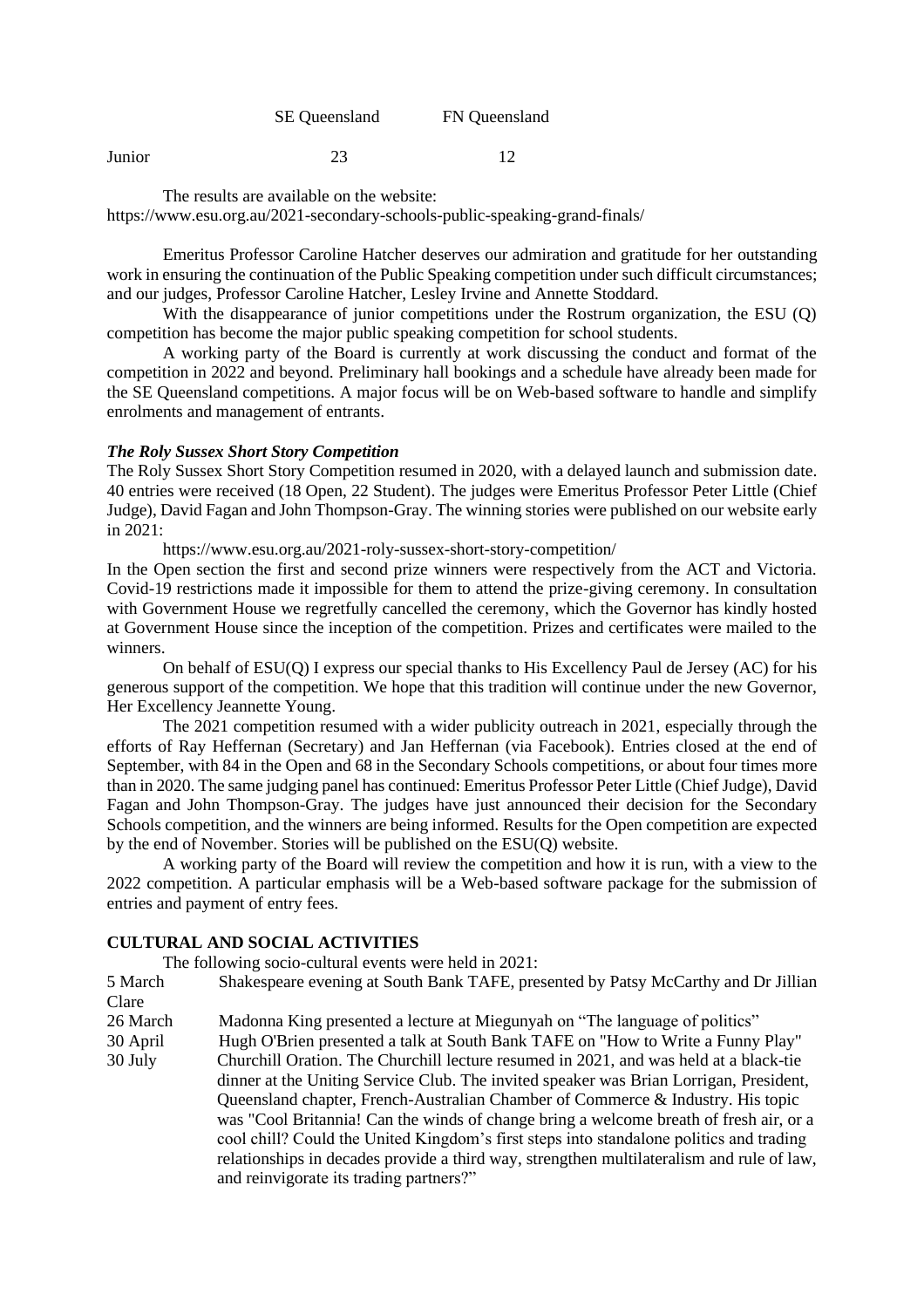SE Queensland FN Queensland

**Junior** 23 12

The results are available on the website:

https://www.esu.org.au/2021-secondary-schools-public-speaking-grand-finals/

Emeritus Professor Caroline Hatcher deserves our admiration and gratitude for her outstanding work in ensuring the continuation of the Public Speaking competition under such difficult circumstances; and our judges, Professor Caroline Hatcher, Lesley Irvine and Annette Stoddard.

With the disappearance of junior competitions under the Rostrum organization, the ESU (Q) competition has become the major public speaking competition for school students.

A working party of the Board is currently at work discussing the conduct and format of the competition in 2022 and beyond. Preliminary hall bookings and a schedule have already been made for the SE Queensland competitions. A major focus will be on Web-based software to handle and simplify enrolments and management of entrants.

#### *The Roly Sussex Short Story Competition*

The Roly Sussex Short Story Competition resumed in 2020, with a delayed launch and submission date. 40 entries were received (18 Open, 22 Student). The judges were Emeritus Professor Peter Little (Chief Judge), David Fagan and John Thompson-Gray. The winning stories were published on our website early in 2021:

https://www.esu.org.au/2021-roly-sussex-short-story-competition/

In the Open section the first and second prize winners were respectively from the ACT and Victoria. Covid-19 restrictions made it impossible for them to attend the prize-giving ceremony. In consultation with Government House we regretfully cancelled the ceremony, which the Governor has kindly hosted at Government House since the inception of the competition. Prizes and certificates were mailed to the winners.

On behalf of ESU(Q) I express our special thanks to His Excellency Paul de Jersey (AC) for his generous support of the competition. We hope that this tradition will continue under the new Governor, Her Excellency Jeannette Young.

The 2021 competition resumed with a wider publicity outreach in 2021, especially through the efforts of Ray Heffernan (Secretary) and Jan Heffernan (via Facebook). Entries closed at the end of September, with 84 in the Open and 68 in the Secondary Schools competitions, or about four times more than in 2020. The same judging panel has continued: Emeritus Professor Peter Little (Chief Judge), David Fagan and John Thompson-Gray. The judges have just announced their decision for the Secondary Schools competition, and the winners are being informed. Results for the Open competition are expected by the end of November. Stories will be published on the ESU(Q) website.

A working party of the Board will review the competition and how it is run, with a view to the 2022 competition. A particular emphasis will be a Web-based software package for the submission of entries and payment of entry fees.

## **CULTURAL AND SOCIAL ACTIVITIES**

The following socio-cultural events were held in 2021:

5 March Shakespeare evening at South Bank TAFE, presented by Patsy McCarthy and Dr Jillian Clare

26 March Madonna King presented a lecture at Miegunyah on "The language of politics"

30 April Hugh O'Brien presented a talk at South Bank TAFE on "How to Write a Funny Play"

30 July Churchill Oration. The Churchill lecture resumed in 2021, and was held at a black-tie dinner at the Uniting Service Club. The invited speaker was Brian Lorrigan, President, Queensland chapter, French-Australian Chamber of Commerce & Industry. His topic was "Cool Britannia! Can the winds of change bring a welcome breath of fresh air, or a cool chill? Could the United Kingdom's first steps into standalone politics and trading relationships in decades provide a third way, strengthen multilateralism and rule of law, and reinvigorate its trading partners?"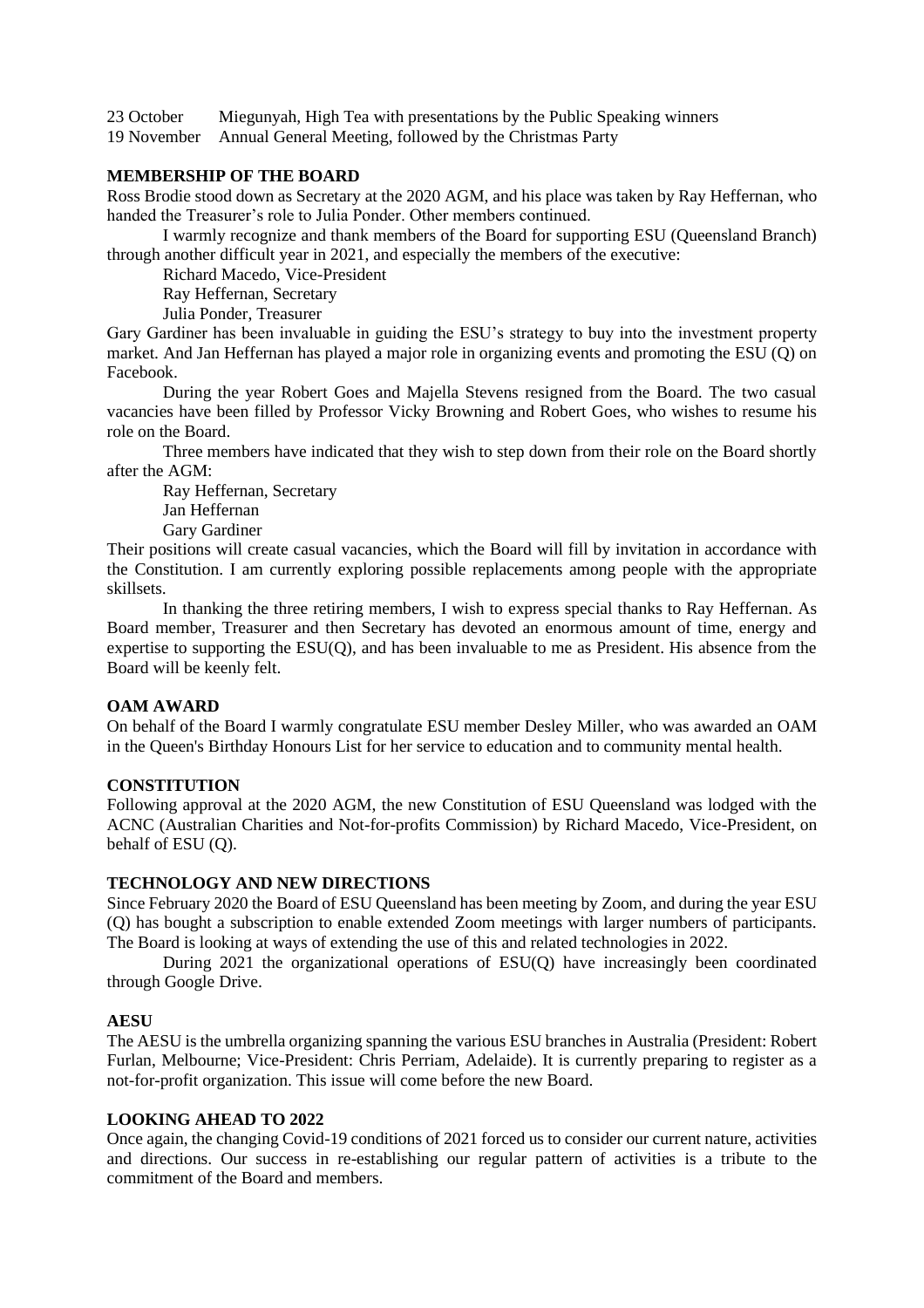23 October Miegunyah, High Tea with presentations by the Public Speaking winners

19 November Annual General Meeting, followed by the Christmas Party

## **MEMBERSHIP OF THE BOARD**

Ross Brodie stood down as Secretary at the 2020 AGM, and his place was taken by Ray Heffernan, who handed the Treasurer's role to Julia Ponder. Other members continued.

I warmly recognize and thank members of the Board for supporting ESU (Queensland Branch) through another difficult year in 2021, and especially the members of the executive:

Richard Macedo, Vice-President

Ray Heffernan, Secretary

Julia Ponder, Treasurer

Gary Gardiner has been invaluable in guiding the ESU's strategy to buy into the investment property market. And Jan Heffernan has played a major role in organizing events and promoting the ESU (Q) on Facebook.

During the year Robert Goes and Majella Stevens resigned from the Board. The two casual vacancies have been filled by Professor Vicky Browning and Robert Goes, who wishes to resume his role on the Board.

Three members have indicated that they wish to step down from their role on the Board shortly after the AGM:

Ray Heffernan, Secretary Jan Heffernan Gary Gardiner

Their positions will create casual vacancies, which the Board will fill by invitation in accordance with the Constitution. I am currently exploring possible replacements among people with the appropriate skillsets.

In thanking the three retiring members, I wish to express special thanks to Ray Heffernan. As Board member, Treasurer and then Secretary has devoted an enormous amount of time, energy and expertise to supporting the ESU(Q), and has been invaluable to me as President. His absence from the Board will be keenly felt.

## **OAM AWARD**

On behalf of the Board I warmly congratulate ESU member Desley Miller, who was awarded an OAM in the Queen's Birthday Honours List for her service to education and to community mental health.

## **CONSTITUTION**

Following approval at the 2020 AGM, the new Constitution of ESU Queensland was lodged with the ACNC (Australian Charities and Not-for-profits Commission) by Richard Macedo, Vice-President, on behalf of ESU (Q).

## **TECHNOLOGY AND NEW DIRECTIONS**

Since February 2020 the Board of ESU Queensland has been meeting by Zoom, and during the year ESU (Q) has bought a subscription to enable extended Zoom meetings with larger numbers of participants. The Board is looking at ways of extending the use of this and related technologies in 2022.

During 2021 the organizational operations of ESU(Q) have increasingly been coordinated through Google Drive.

## **AESU**

The AESU is the umbrella organizing spanning the various ESU branches in Australia (President: Robert Furlan, Melbourne; Vice-President: Chris Perriam, Adelaide). It is currently preparing to register as a not-for-profit organization. This issue will come before the new Board.

## **LOOKING AHEAD TO 2022**

Once again, the changing Covid-19 conditions of 2021 forced us to consider our current nature, activities and directions. Our success in re-establishing our regular pattern of activities is a tribute to the commitment of the Board and members.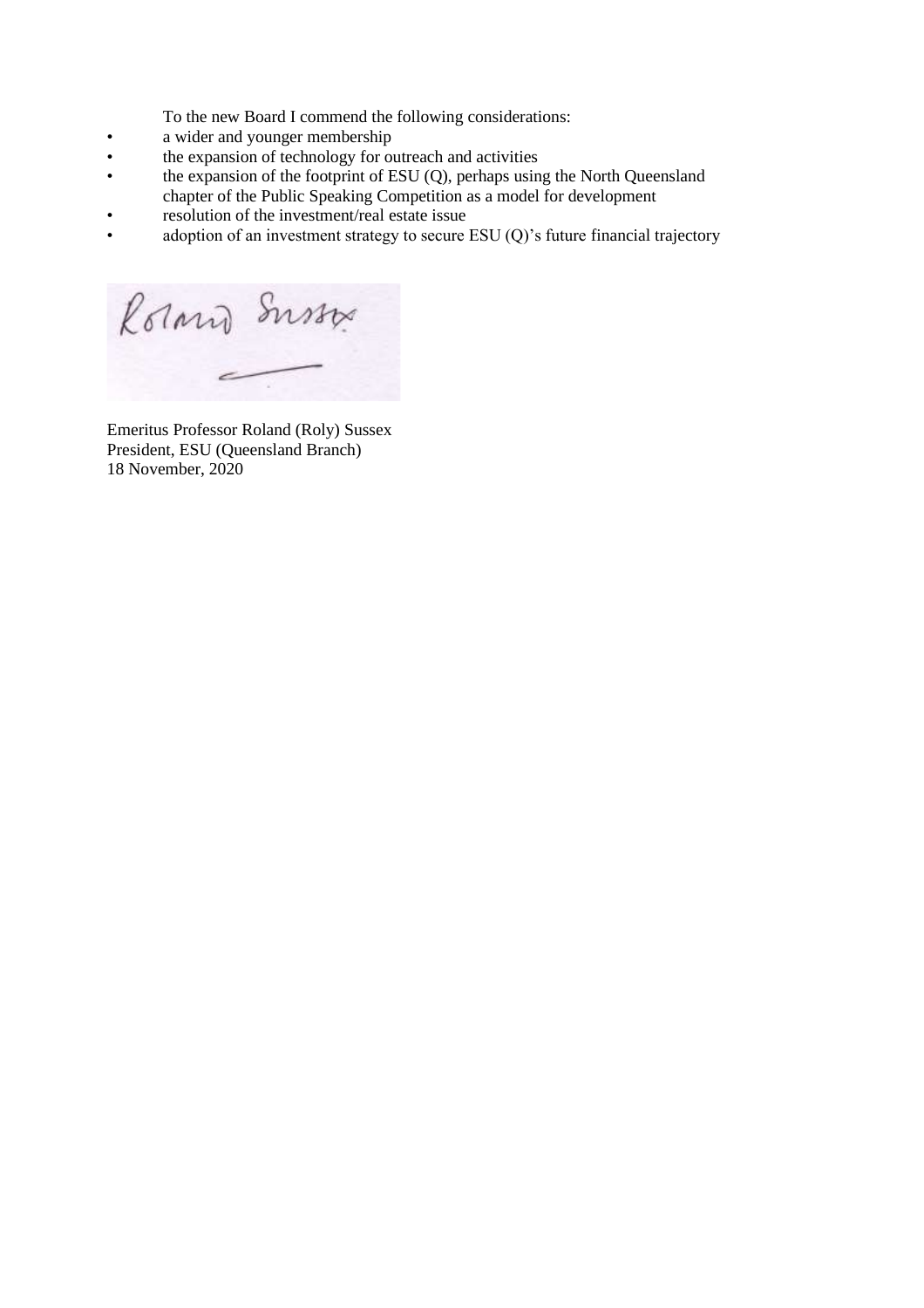To the new Board I commend the following considerations:

- a wider and younger membership<br>• the expansion of technology for our
- the expansion of technology for outreach and activities<br>• the expansion of the footprint of ESU (O), perhaps usin
- the expansion of the footprint of ESU (Q), perhaps using the North Queensland chapter of the Public Speaking Competition as a model for development
- resolution of the investment/real estate issue
- adoption of an investment strategy to secure ESU (Q)'s future financial trajectory

Rorand Susso

Emeritus Professor Roland (Roly) Sussex President, ESU (Queensland Branch) 18 November, 2020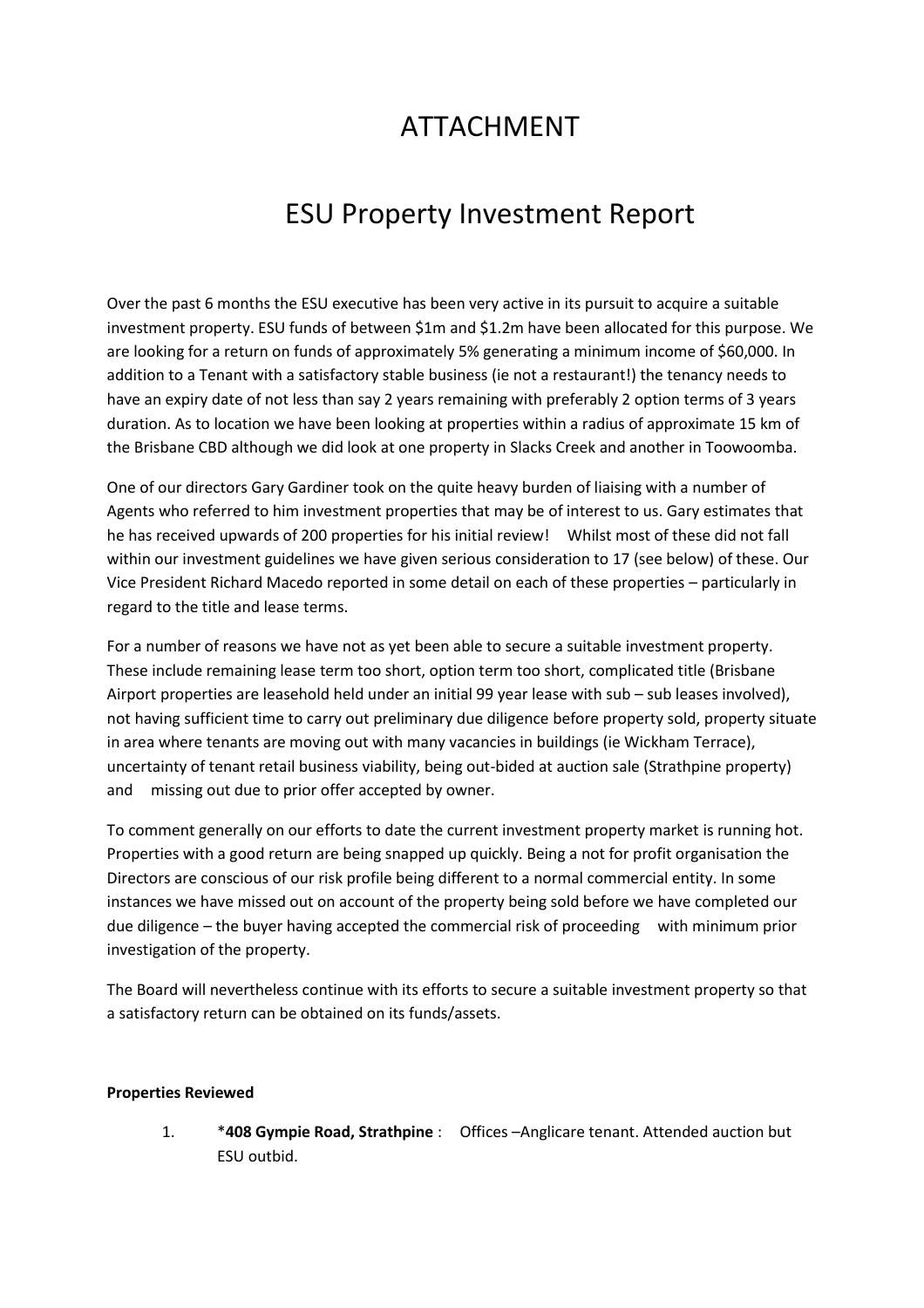# ATTACHMENT

# ESU Property Investment Report

Over the past 6 months the ESU executive has been very active in its pursuit to acquire a suitable investment property. ESU funds of between \$1m and \$1.2m have been allocated for this purpose. We are looking for a return on funds of approximately 5% generating a minimum income of \$60,000. In addition to a Tenant with a satisfactory stable business (ie not a restaurant!) the tenancy needs to have an expiry date of not less than say 2 years remaining with preferably 2 option terms of 3 years duration. As to location we have been looking at properties within a radius of approximate 15 km of the Brisbane CBD although we did look at one property in Slacks Creek and another in Toowoomba.

One of our directors Gary Gardiner took on the quite heavy burden of liaising with a number of Agents who referred to him investment properties that may be of interest to us. Gary estimates that he has received upwards of 200 properties for his initial review! Whilst most of these did not fall within our investment guidelines we have given serious consideration to 17 (see below) of these. Our Vice President Richard Macedo reported in some detail on each of these properties – particularly in regard to the title and lease terms.

For a number of reasons we have not as yet been able to secure a suitable investment property. These include remaining lease term too short, option term too short, complicated title (Brisbane Airport properties are leasehold held under an initial 99 year lease with sub – sub leases involved), not having sufficient time to carry out preliminary due diligence before property sold, property situate in area where tenants are moving out with many vacancies in buildings (ie Wickham Terrace), uncertainty of tenant retail business viability, being out-bided at auction sale (Strathpine property) and missing out due to prior offer accepted by owner.

To comment generally on our efforts to date the current investment property market is running hot. Properties with a good return are being snapped up quickly. Being a not for profit organisation the Directors are conscious of our risk profile being different to a normal commercial entity. In some instances we have missed out on account of the property being sold before we have completed our due diligence – the buyer having accepted the commercial risk of proceeding with minimum prior investigation of the property.

The Board will nevertheless continue with its efforts to secure a suitable investment property so that a satisfactory return can be obtained on its funds/assets.

## **Properties Reviewed**

1. \***408 Gympie Road, Strathpine** : Offices –Anglicare tenant. Attended auction but ESU outbid.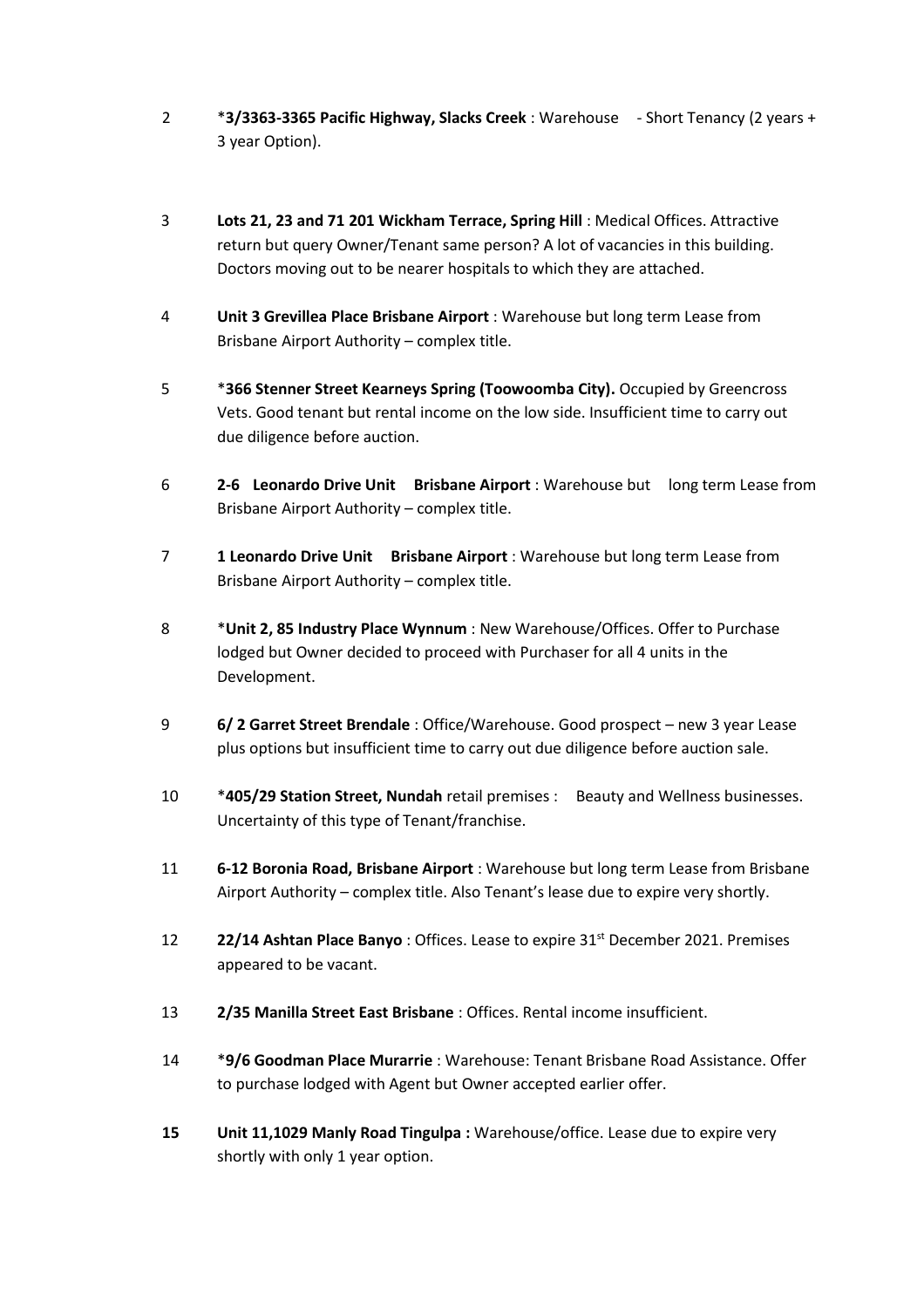- 2 \***3/3363-3365 Pacific Highway, Slacks Creek** : Warehouse Short Tenancy (2 years + 3 year Option).
- 3 **Lots 21, 23 and 71 201 Wickham Terrace, Spring Hill** : Medical Offices. Attractive return but query Owner/Tenant same person? A lot of vacancies in this building. Doctors moving out to be nearer hospitals to which they are attached.
- 4 **Unit 3 Grevillea Place Brisbane Airport** : Warehouse but long term Lease from Brisbane Airport Authority – complex title.
- 5 \***366 Stenner Street Kearneys Spring (Toowoomba City).** Occupied by Greencross Vets. Good tenant but rental income on the low side. Insufficient time to carry out due diligence before auction.
- 6 **2-6 Leonardo Drive Unit Brisbane Airport** : Warehouse but long term Lease from Brisbane Airport Authority – complex title.
- 7 **1 Leonardo Drive Unit Brisbane Airport** : Warehouse but long term Lease from Brisbane Airport Authority – complex title.
- 8 \***Unit 2, 85 Industry Place Wynnum** : New Warehouse/Offices. Offer to Purchase lodged but Owner decided to proceed with Purchaser for all 4 units in the Development.
- 9 **6/ 2 Garret Street Brendale** : Office/Warehouse. Good prospect new 3 year Lease plus options but insufficient time to carry out due diligence before auction sale.
- 10 \***405/29 Station Street, Nundah** retail premises : Beauty and Wellness businesses. Uncertainty of this type of Tenant/franchise.
- 11 **6-12 Boronia Road, Brisbane Airport** : Warehouse but long term Lease from Brisbane Airport Authority – complex title. Also Tenant's lease due to expire very shortly.
- 12 **22/14 Ashtan Place Banyo**: Offices. Lease to expire 31<sup>st</sup> December 2021. Premises appeared to be vacant.
- 13 **2/35 Manilla Street East Brisbane** : Offices. Rental income insufficient.
- 14 \***9/6 Goodman Place Murarrie** : Warehouse: Tenant Brisbane Road Assistance. Offer to purchase lodged with Agent but Owner accepted earlier offer.
- **15 Unit 11,1029 Manly Road Tingulpa :** Warehouse/office. Lease due to expire very shortly with only 1 year option.